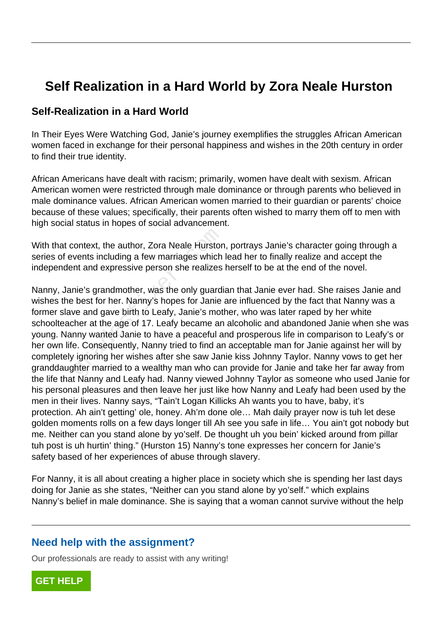# **Self Realization in a Hard World by Zora Neale Hurston**

#### **Self-Realization in a Hard World**

In Their Eyes Were Watching God, Janie's journey exemplifies the struggles African American women faced in exchange for their personal happiness and wishes in the 20th century in order to find their true identity.

African Americans have dealt with racism; primarily, women have dealt with sexism. African American women were restricted through male dominance or through parents who believed in male dominance values. African American women married to their guardian or parents' choice because of these values; specifically, their parents often wished to marry them off to men with high social status in hopes of social advancement.

With that context, the author, Zora Neale Hurston, portrays Janie's character going through a series of events including a few marriages which lead her to finally realize and accept the independent and expressive person she realizes herself to be at the end of the novel.

Nanny, Janie's grandmother, was the only guardian that Janie ever had. She raises Janie and wishes the best for her. Nanny's hopes for Janie are influenced by the fact that Nanny was a former slave and gave birth to Leafy, Janie's mother, who was later raped by her white schoolteacher at the age of 17. Leafy became an alcoholic and abandoned Janie when she was young. Nanny wanted Janie to have a peaceful and prosperous life in comparison to Leafy's or her own life. Consequently, Nanny tried to find an acceptable man for Janie against her will by completely ignoring her wishes after she saw Janie kiss Johnny Taylor. Nanny vows to get her granddaughter married to a wealthy man who can provide for Janie and take her far away from the life that Nanny and Leafy had. Nanny viewed Johnny Taylor as someone who used Janie for his personal pleasures and then leave her just like how Nanny and Leafy had been used by the men in their lives. Nanny says, "Tain't Logan Killicks Ah wants you to have, baby, it's protection. Ah ain't getting' ole, honey. Ah'm done ole… Mah daily prayer now is tuh let dese golden moments rolls on a few days longer till Ah see you safe in life… You ain't got nobody but me. Neither can you stand alone by yo'self. De thought uh you bein' kicked around from pillar tuh post is uh hurtin' thing." (Hurston 15) Nanny's tone expresses her concern for Janie's safety based of her experiences of abuse through slavery. context, the author, Zora Neale Hurstor<br>vents including a few marriages which<br>int and expressive person she realizes<br>nie's grandmother, was the only guardi<br>best for her. Nanny's hopes for Janie<br>we and gave birth to Leafy,

For Nanny, it is all about creating a higher place in society which she is spending her last days doing for Janie as she states, "Neither can you stand alone by yo'self." which explains Nanny's belief in male dominance. She is saying that a woman cannot survive without the help

### **Need help with the assignment?**

Our professionals are ready to assist with any writing!

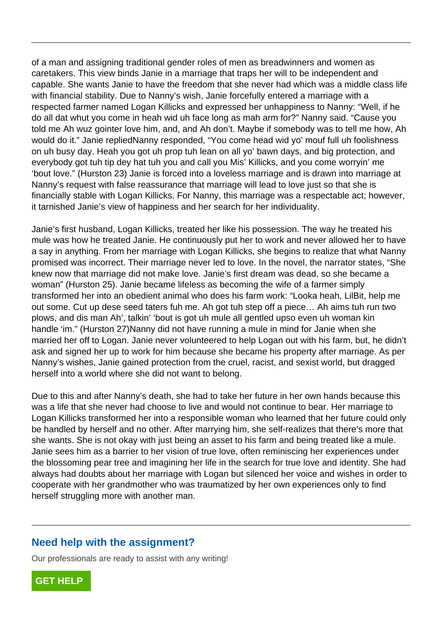of a man and assigning traditional gender roles of men as breadwinners and women as caretakers. This view binds Janie in a marriage that traps her will to be independent and capable. She wants Janie to have the freedom that she never had which was a middle class life with financial stability. Due to Nanny's wish, Janie forcefully entered a marriage with a respected farmer named Logan Killicks and expressed her unhappiness to Nanny: "Well, if he do all dat whut you come in heah wid uh face long as mah arm for?" Nanny said. "Cause you told me Ah wuz gointer love him, and, and Ah don't. Maybe if somebody was to tell me how, Ah would do it." Janie repliedNanny responded, "You come head wid yo' mouf full uh foolishness on uh busy day. Heah you got uh prop tuh lean on all yo' bawn days, and big protection, and everybody got tuh tip dey hat tuh you and call you Mis' Killicks, and you come worryin' me 'bout love." (Hurston 23) Janie is forced into a loveless marriage and is drawn into marriage at Nanny's request with false reassurance that marriage will lead to love just so that she is financially stable with Logan Killicks. For Nanny, this marriage was a respectable act; however, it tarnished Janie's view of happiness and her search for her individuality.

Janie's first husband, Logan Killicks, treated her like his possession. The way he treated his mule was how he treated Janie. He continuously put her to work and never allowed her to have a say in anything. From her marriage with Logan Killicks, she begins to realize that what Nanny promised was incorrect. Their marriage never led to love. In the novel, the narrator states, "She knew now that marriage did not make love. Janie's first dream was dead, so she became a woman" (Hurston 25). Janie became lifeless as becoming the wife of a farmer simply transformed her into an obedient animal who does his farm work: "Looka heah, LilBit, help me out some. Cut up dese seed taters fuh me. Ah got tuh step off a piece… Ah aims tuh run two plows, and dis man Ah', talkin' 'bout is got uh mule all gentled upso even uh woman kin handle 'im." (Hurston 27) Nanny did not have running a mule in mind for Janie when she married her off to Logan. Janie never volunteered to help Logan out with his farm, but, he didn't ask and signed her up to work for him because she became his property after marriage. As per Nanny's wishes, Janie gained protection from the cruel, racist, and sexist world, but dragged herself into a world where she did not want to belong. it riusbarid, Logari Nillicks, treated rief if<br>how he treated Janie. He continuously<br>hything. From her marriage with Logan<br>was incorrect. Their marriage never led<br>that marriage did not make love. Janie<br>durston 25). Janie b

Due to this and after Nanny's death, she had to take her future in her own hands because this was a life that she never had choose to live and would not continue to bear. Her marriage to Logan Killicks transformed her into a responsible woman who learned that her future could only be handled by herself and no other. After marrying him, she self-realizes that there's more that she wants. She is not okay with just being an asset to his farm and being treated like a mule. Janie sees him as a barrier to her vision of true love, often reminiscing her experiences under the blossoming pear tree and imagining her life in the search for true love and identity. She had always had doubts about her marriage with Logan but silenced her voice and wishes in order to cooperate with her grandmother who was traumatized by her own experiences only to find herself struggling more with another man.

### **Need help with the assignment?**

Our professionals are ready to assist with any writing!

**[GET HELP](https://my.gradesfixer.com/order?utm_campaign=pdf_sample)**